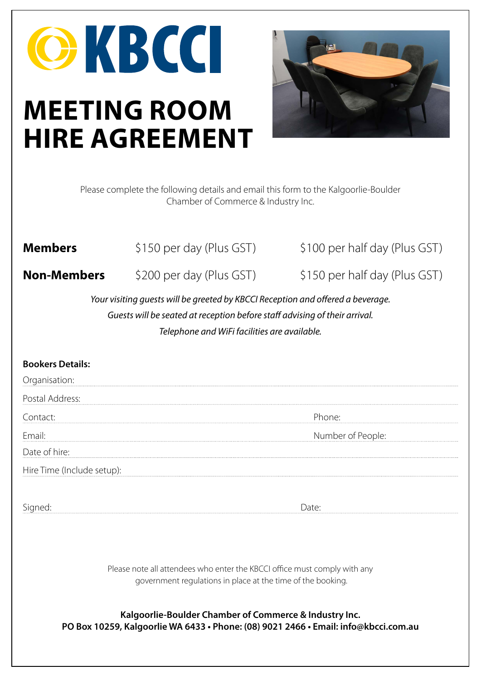# OKBCCI **MEETING ROOM HIRE AGREEMENT**



Please complete the following details and email this form to the Kalgoorlie-Boulder Chamber of Commerce & Industry Inc.

**Members**  $\frac{1}{2}$  \$150 per day (Plus GST) \$100 per half day (Plus GST)

**Non-Members** \$200 per day (Plus GST) \$150 per half day (Plus GST)

*Your visiting guests will be greeted by KBCCI Reception and offered a beverage. Guests will be seated at reception before staff advising of their arrival. Telephone and WiFi facilities are available.* 

#### **Bookers Details:**

Organisation:

Postal Address:

Contact: Phone: Phone: Phone: Phone: Phone: Phone: Phone: Phone: Phone: Phone: Phone: Phone: Phone: Phone: Phone: Phone: Phone: Phone: Phone: Phone: Phone: Phone: Phone: Phone: Phone: Phone: Phone: Phone: Phone: Phone: Pho

Email: **Email:** Number of People:

Date of hire:

Hire Time (Include setup):

Signed: Date:

Please note all attendees who enter the KBCCI office must comply with any government regulations in place at the time of the booking.

**Kalgoorlie-Boulder Chamber of Commerce & Industry Inc. PO Box 10259, Kalgoorlie WA 6433 • Phone: (08) 9021 2466 • Email: info@kbcci.com.au**